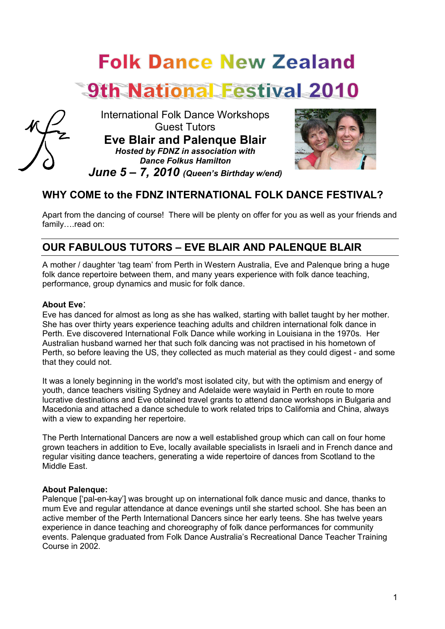# **Folk Dance New Zealand**





International Folk Dance Workshops Guest Tutors

**Eve Blair and Palenque Blair** *Hosted by FDNZ in association with Dance Folkus Hamilton June 5 – 7, 2010 (Queen's Birthday w/end)*



# **WHY COME to the FDNZ INTERNATIONAL FOLK DANCE FESTIVAL?**

Apart from the dancing of course! There will be plenty on offer for you as well as your friends and family….read on:

# **OUR FABULOUS TUTORS – EVE BLAIR AND PALENQUE BLAIR**

A mother / daughter 'tag team' from Perth in Western Australia, Eve and Palenque bring a huge folk dance repertoire between them, and many years experience with folk dance teaching, performance, group dynamics and music for folk dance.

#### **About Eve**:

Eve has danced for almost as long as she has walked, starting with ballet taught by her mother. She has over thirty years experience teaching adults and children international folk dance in Perth. Eve discovered International Folk Dance while working in Louisiana in the 1970s. Her Australian husband warned her that such folk dancing was not practised in his hometown of Perth, so before leaving the US, they collected as much material as they could digest - and some that they could not.

It was a lonely beginning in the world's most isolated city, but with the optimism and energy of youth, dance teachers visiting Sydney and Adelaide were waylaid in Perth en route to more lucrative destinations and Eve obtained travel grants to attend dance workshops in Bulgaria and Macedonia and attached a dance schedule to work related trips to California and China, always with a view to expanding her repertoire.

The Perth International Dancers are now a well established group which can call on four home grown teachers in addition to Eve, locally available specialists in Israeli and in French dance and regular visiting dance teachers, generating a wide repertoire of dances from Scotland to the Middle East.

#### **About Palenque:**

Palenque ['pal-en-kay'] was brought up on international folk dance music and dance, thanks to mum Eve and regular attendance at dance evenings until she started school. She has been an active member of the Perth International Dancers since her early teens. She has twelve years experience in dance teaching and choreography of folk dance performances for community events. Palenque graduated from Folk Dance Australia's Recreational Dance Teacher Training Course in 2002.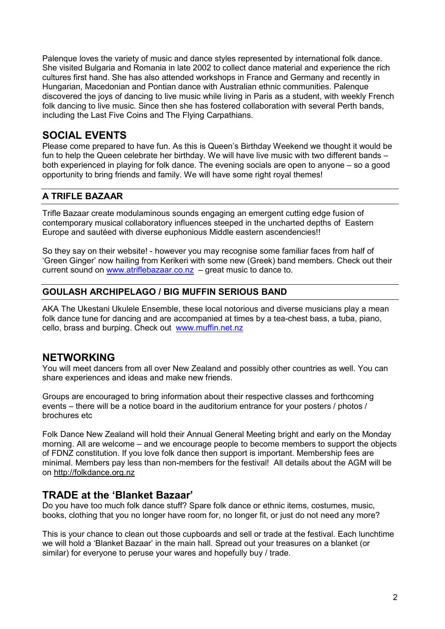Palenque loves the variety of music and dance styles represented by international folk dance. She visited Bulgaria and Romania in late 2002 to collect dance material and experience the rich cultures first hand. She has also attended workshops in France and Germany and recently in Hungarian, Macedonian and Pontian dance with Australian ethnic communities. Palenque discovered the joys of dancing to live music while living in Paris as a student, with weekly French folk dancing to live music. Since then she has fostered collaboration with several Perth bands, including the Last Five Coins and The Flying Carpathians.

# **SOCIAL EVENTS**

Please come prepared to have fun. As this is Queen's Birthday Weekend we thought it would be fun to help the Queen celebrate her birthday. We will have live music with two different bands – both experienced in playing for folk dance. The evening socials are open to anyone – so a good opportunity to bring friends and family. We will have some right royal themes!

## **A TRIFLE BAZAAR**

Trifle Bazaar create modulaminous sounds engaging an emergent cutting edge fusion of contemporary musical collaboratory influences steeped in the uncharted depths of Eastern Europe and sautéed with diverse euphonious Middle eastern ascendencies!!

So they say on their website! - however you may recognise some familiar faces from half of 'Green Ginger' now hailing from Kerikeri with some new (Greek) band members. Check out their current sound on www.atriflebazaar.co.nz – great music to dance to.

#### **GOULASH ARCHIPELAGO / BIG MUFFIN SERIOUS BAND**

AKA The Ukestani Ukulele Ensemble, these local notorious and diverse musicians play a mean folk dance tune for dancing and are accompanied at times by a tea-chest bass, a tuba, piano, cello, brass and burping. Check out www.muffin.net.nz

## **NETWORKING**

You will meet dancers from all over New Zealand and possibly other countries as well. You can share experiences and ideas and make new friends.

Groups are encouraged to bring information about their respective classes and forthcoming events – there will be a notice board in the auditorium entrance for your posters / photos / brochures etc

Folk Dance New Zealand will hold their Annual General Meeting bright and early on the Monday morning. All are welcome – and we encourage people to become members to support the objects of FDNZ constitution. If you love folk dance then support is important. Membership fees are minimal. Members pay less than non-members for the festival! All details about the AGM will be on http://folkdance.org.nz

## **TRADE at the 'Blanket Bazaar'**

Do you have too much folk dance stuff? Spare folk dance or ethnic items, costumes, music, books, clothing that you no longer have room for, no longer fit, or just do not need any more?

This is your chance to clean out those cupboards and sell or trade at the festival. Each lunchtime we will hold a 'Blanket Bazaar' in the main hall. Spread out your treasures on a blanket (or similar) for everyone to peruse your wares and hopefully buy / trade.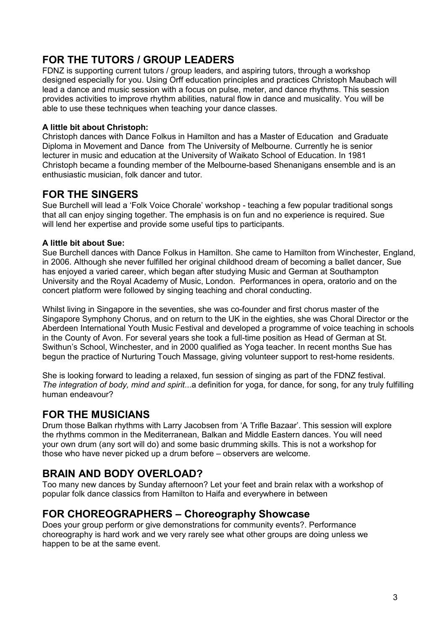# **FOR THE TUTORS / GROUP LEADERS**

FDNZ is supporting current tutors / group leaders, and aspiring tutors, through a workshop designed especially for you. Using Orff education principles and practices Christoph Maubach will lead a dance and music session with a focus on pulse, meter, and dance rhythms. This session provides activities to improve rhythm abilities, natural flow in dance and musicality. You will be able to use these techniques when teaching your dance classes.

#### **A little bit about Christoph:**

Christoph dances with Dance Folkus in Hamilton and has a Master of Education and Graduate Diploma in Movement and Dance from The University of Melbourne. Currently he is senior lecturer in music and education at the University of Waikato School of Education. In 1981 Christoph became a founding member of the Melbourne-based Shenanigans ensemble and is an enthusiastic musician, folk dancer and tutor.

## **FOR THE SINGERS**

Sue Burchell will lead a 'Folk Voice Chorale' workshop - teaching a few popular traditional songs that all can enjoy singing together. The emphasis is on fun and no experience is required. Sue will lend her expertise and provide some useful tips to participants.

#### **A little bit about Sue:**

Sue Burchell dances with Dance Folkus in Hamilton. She came to Hamilton from Winchester, England, in 2006. Although she never fulfilled her original childhood dream of becoming a ballet dancer, Sue has enjoyed a varied career, which began after studying Music and German at Southampton University and the Royal Academy of Music, London. Performances in opera, oratorio and on the concert platform were followed by singing teaching and choral conducting.

Whilst living in Singapore in the seventies, she was co-founder and first chorus master of the Singapore Symphony Chorus, and on return to the UK in the eighties, she was Choral Director or the Aberdeen International Youth Music Festival and developed a programme of voice teaching in schools in the County of Avon. For several years she took a full-time position as Head of German at St. Swithun's School, Winchester, and in 2000 qualified as Yoga teacher. In recent months Sue has begun the practice of Nurturing Touch Massage, giving volunteer support to rest-home residents.

She is looking forward to leading a relaxed, fun session of singing as part of the FDNZ festival. *The integration of body, mind and spirit*...a definition for yoga, for dance, for song, for any truly fulfilling human endeavour?

# **FOR THE MUSICIANS**

Drum those Balkan rhythms with Larry Jacobsen from 'A Trifle Bazaar'. This session will explore the rhythms common in the Mediterranean, Balkan and Middle Eastern dances. You will need your own drum (any sort will do) and some basic drumming skills. This is not a workshop for those who have never picked up a drum before – observers are welcome.

# **BRAIN AND BODY OVERLOAD?**

Too many new dances by Sunday afternoon? Let your feet and brain relax with a workshop of popular folk dance classics from Hamilton to Haifa and everywhere in between

## **FOR CHOREOGRAPHERS – Choreography Showcase**

Does your group perform or give demonstrations for community events?. Performance choreography is hard work and we very rarely see what other groups are doing unless we happen to be at the same event.